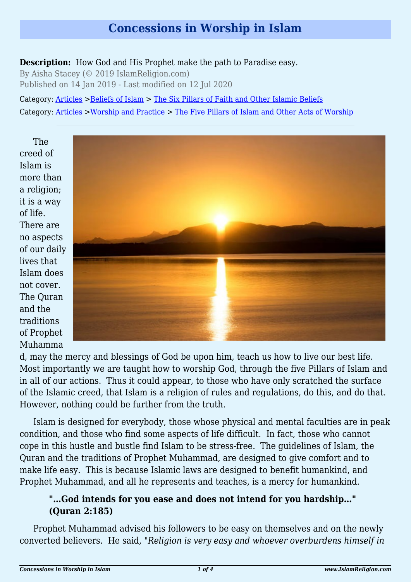# **Concessions in Worship in Islam**

**Description:** How God and His Prophet make the path to Paradise easy.

By Aisha Stacey (© 2019 IslamReligion.com) Published on 14 Jan 2019 - Last modified on 12 Jul 2020

Category: [Articles](http://www.islamreligion.com/articles/) >[Beliefs of Islam](http://www.islamreligion.com/category/48/) > [The Six Pillars of Faith and Other Islamic Beliefs](http://www.islamreligion.com/category/50/) Category: [Articles](http://www.islamreligion.com/articles/) >[Worship and Practice](http://www.islamreligion.com/category/55/) > [The Five Pillars of Islam and Other Acts of Worship](http://www.islamreligion.com/category/56/)

The creed of Islam is more than a religion; it is a way of life. There are no aspects of our daily lives that Islam does not cover. The Quran and the traditions of Prophet Muhamma



d, may the mercy and blessings of God be upon him, teach us how to live our best life. Most importantly we are taught how to worship God, through the five Pillars of Islam and in all of our actions. Thus it could appear, to those who have only scratched the surface of the Islamic creed, that Islam is a religion of rules and regulations, do this, and do that. However, nothing could be further from the truth.

Islam is designed for everybody, those whose physical and mental faculties are in peak condition, and those who find some aspects of life difficult. In fact, those who cannot cope in this hustle and bustle find Islam to be stress-free. The guidelines of Islam, the Quran and the traditions of Prophet Muhammad, are designed to give comfort and to make life easy. This is because Islamic laws are designed to benefit humankind, and Prophet Muhammad, and all he represents and teaches, is a mercy for humankind.

#### **"…God intends for you ease and does not intend for you hardship…" (Quran 2:185)**

<span id="page-0-0"></span>Prophet Muhammad advised his followers to be easy on themselves and on the newly converted believers. He said, "*Religion is very easy and whoever overburdens himself in*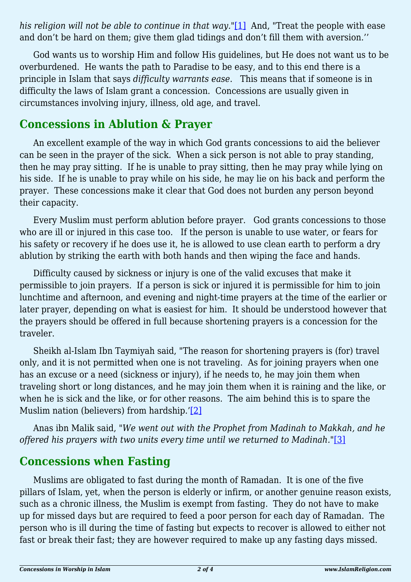*his religion will not be able to continue in that way.*"[\[1\]](#page-2-0) And, "Treat the people with ease and don't be hard on them; give them glad tidings and don't fill them with aversion.''

God wants us to worship Him and follow His guidelines, but He does not want us to be overburdened. He wants the path to Paradise to be easy, and to this end there is a principle in Islam that says *difficulty warrants ease*. This means that if someone is in difficulty the laws of Islam grant a concession. Concessions are usually given in circumstances involving injury, illness, old age, and travel.

### **Concessions in Ablution & Prayer**

An excellent example of the way in which God grants concessions to aid the believer can be seen in the prayer of the sick. When a sick person is not able to pray standing, then he may pray sitting. If he is unable to pray sitting, then he may pray while lying on his side. If he is unable to pray while on his side, he may lie on his back and perform the prayer. These concessions make it clear that God does not burden any person beyond their capacity.

Every Muslim must perform ablution before prayer. God grants concessions to those who are ill or injured in this case too. If the person is unable to use water, or fears for his safety or recovery if he does use it, he is allowed to use clean earth to perform a dry ablution by striking the earth with both hands and then wiping the face and hands.

Difficulty caused by sickness or injury is one of the valid excuses that make it permissible to join prayers. If a person is sick or injured it is permissible for him to join lunchtime and afternoon, and evening and night-time prayers at the time of the earlier or later prayer, depending on what is easiest for him. It should be understood however that the prayers should be offered in full because shortening prayers is a concession for the traveler.

Sheikh al-Islam Ibn Taymiyah said, "The reason for shortening prayers is (for) travel only, and it is not permitted when one is not traveling. As for joining prayers when one has an excuse or a need (sickness or injury), if he needs to, he may join them when traveling short or long distances, and he may join them when it is raining and the like, or when he is sick and the like, or for other reasons. The aim behind this is to spare the Muslim nation (believers) from hardship.'[\[2\]](#page-2-1)

<span id="page-1-1"></span><span id="page-1-0"></span>Anas ibn Malik said, "*We went out with the Prophet from Madinah to Makkah, and he offered his prayers with two units every time until we returned to Madinah.*"[\[3\]](#page-2-2)

# **Concessions when Fasting**

Muslims are obligated to fast during the month of Ramadan. It is one of the five pillars of Islam, yet, when the person is elderly or infirm, or another genuine reason exists, such as a chronic illness, the Muslim is exempt from fasting. They do not have to make up for missed days but are required to feed a poor person for each day of Ramadan. The person who is ill during the time of fasting but expects to recover is allowed to either not fast or break their fast; they are however required to make up any fasting days missed.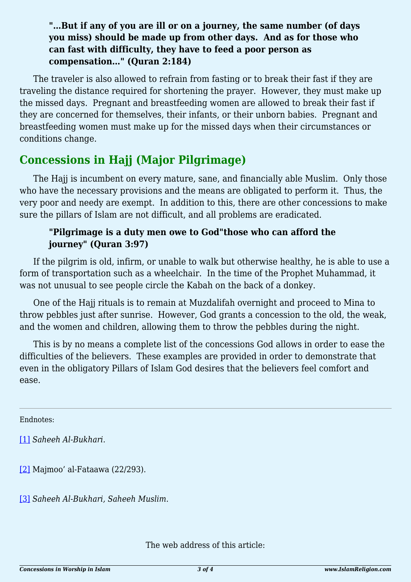#### **"…But if any of you are ill or on a journey, the same number (of days you miss) should be made up from other days. And as for those who can fast with difficulty, they have to feed a poor person as compensation…" (Quran 2:184)**

The traveler is also allowed to refrain from fasting or to break their fast if they are traveling the distance required for shortening the prayer. However, they must make up the missed days. Pregnant and breastfeeding women are allowed to break their fast if they are concerned for themselves, their infants, or their unborn babies. Pregnant and breastfeeding women must make up for the missed days when their circumstances or conditions change.

# **Concessions in Hajj (Major Pilgrimage)**

The Hajj is incumbent on every mature, sane, and financially able Muslim. Only those who have the necessary provisions and the means are obligated to perform it. Thus, the very poor and needy are exempt. In addition to this, there are other concessions to make sure the pillars of Islam are not difficult, and all problems are eradicated.

#### **"Pilgrimage is a duty men owe to God"those who can afford the journey" (Quran 3:97)**

If the pilgrim is old, infirm, or unable to walk but otherwise healthy, he is able to use a form of transportation such as a wheelchair. In the time of the Prophet Muhammad, it was not unusual to see people circle the Kabah on the back of a donkey.

One of the Hajj rituals is to remain at Muzdalifah overnight and proceed to Mina to throw pebbles just after sunrise. However, God grants a concession to the old, the weak, and the women and children, allowing them to throw the pebbles during the night.

This is by no means a complete list of the concessions God allows in order to ease the difficulties of the believers. These examples are provided in order to demonstrate that even in the obligatory Pillars of Islam God desires that the believers feel comfort and ease.

<span id="page-2-0"></span>Endnotes:

[\[1\]](#page-0-0) *Saheeh Al-Bukhari.*

<span id="page-2-1"></span>[\[2\]](#page-1-0) Majmoo' al-Fataawa (22/293).

<span id="page-2-2"></span>[\[3\]](#page-1-1) *Saheeh Al-Bukhari, Saheeh Muslim*.

The web address of this article: